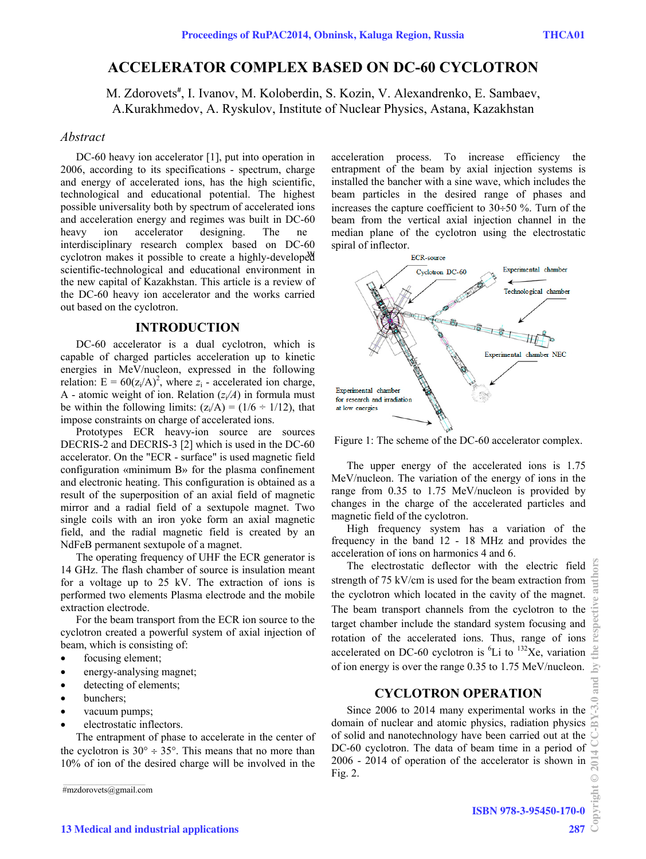# **ACCELERATOR COMPLEX BASED ON DC-60 CYCLOTRON**

M. Zdorovets<sup>#</sup>, I. Ivanov, M. Koloberdin, S. Kozin, V. Alexandrenko, E. Sambaev, A.Kurakhmedov, A. Ryskulov, Institute of Nuclear Physics, Astana, Kazakhstan

#### *Abstract*

DC-60 heavy ion accelerator [1], put into operation in 2006, according to its specifications - spectrum, charge and energy of accelerated ions, has the high scientific, technological and educational potential. The highest possible universality both by spectrum of accelerated ions and acceleration energy and regimes was built in DC-60 heavy ion accelerator designing. The ne cyclotron makes it possible to create a highly-developed interdisciplinary research complex based on DC-60 scientific-technological and educational environment in the new capital of Kazakhstan. This article is a review of the DC-60 heavy ion accelerator and the works carried out based on the cyclotron.

## **INTRODUCTION**

DC-60 accelerator is a dual cyclotron, which is capable of charged particles acceleration up to kinetic energies in MeV/nucleon, expressed in the following relation:  $E = 60(z_i/A)^2$ , where  $z_i$  - accelerated ion charge, A - atomic weight of ion. Relation  $(z/A)$  in formula must be within the following limits:  $(z<sub>i</sub>/A) = (1/6 \div 1/12)$ , that impose constraints on charge of accelerated ions.

Prototypes ECR heavy-ion source are sources DECRIS-2 and DECRIS-3 [2] which is used in the DC-60 accelerator. On the "ECR - surface" is used magnetic field configuration «minimum B» for the plasma confinement and electronic heating. This configuration is obtained as a result of the superposition of an axial field of magnetic mirror and a radial field of a sextupole magnet. Two single coils with an iron yoke form an axial magnetic field, and the radial magnetic field is created by an NdFeB permanent sextupole of a magnet.

The operating frequency of UHF the ECR generator is 14 GHz. The flash chamber of source is insulation meant for a voltage up to 25 kV. The extraction of ions is performed two elements Plasma electrode and the mobile extraction electrode.

For the beam transport from the ECR ion source to the cyclotron created a powerful system of axial injection of beam, which is consisting of:

- focusing element;
- energy-analysing magnet;
- detecting of elements;
- bunchers;
- vacuum pumps;
- electrostatic inflectors.

The entrapment of phase to accelerate in the center of the cyclotron is  $30^{\circ} \div 35^{\circ}$ . This means that no more than 10% of ion of the desired charge will be involved in the

#mzdorovets@gmail.com

acceleration process. To increase efficiency the entrapment of the beam by axial injection systems is installed the bancher with a sine wave, which includes the beam particles in the desired range of phases and increases the capture coefficient to 30÷50 %. Turn of the beam from the vertical axial injection channel in the median plane of the cyclotron using the electrostatic spiral of inflector.



Figure 1: The scheme of the DC-60 accelerator complex.

The upper energy of the accelerated ions is 1.75 MeV/nucleon. The variation of the energy of ions in the range from 0.35 to 1.75 MeV/nucleon is provided by changes in the charge of the accelerated particles and magnetic field of the cyclotron.

High frequency system has a variation of the frequency in the band 12 - 18 MHz and provides the acceleration of ions on harmonics 4 and 6.

The electrostatic deflector with the electric field strength of 75 kV/cm is used for the beam extraction from the cyclotron which located in the cavity of the magnet. The beam transport channels from the cyclotron to the target chamber include the standard system focusing and rotation of the accelerated ions. Thus, range of ions accelerated on DC-60 cyclotron is  ${}^{6}Li$  to  ${}^{132}Xe$ , variation of ion energy is over the range 0.35 to 1.75 MeV/nucleon.

## **CYCLOTRON OPERATION**

Since 2006 to 2014 many experimental works in the domain of nuclear and atomic physics, radiation physics of solid and nanotechnology have been carried out at the DC-60 cyclotron. The data of beam time in a period of 2006 - 2014 of operation of the accelerator is shown in Fig. 2.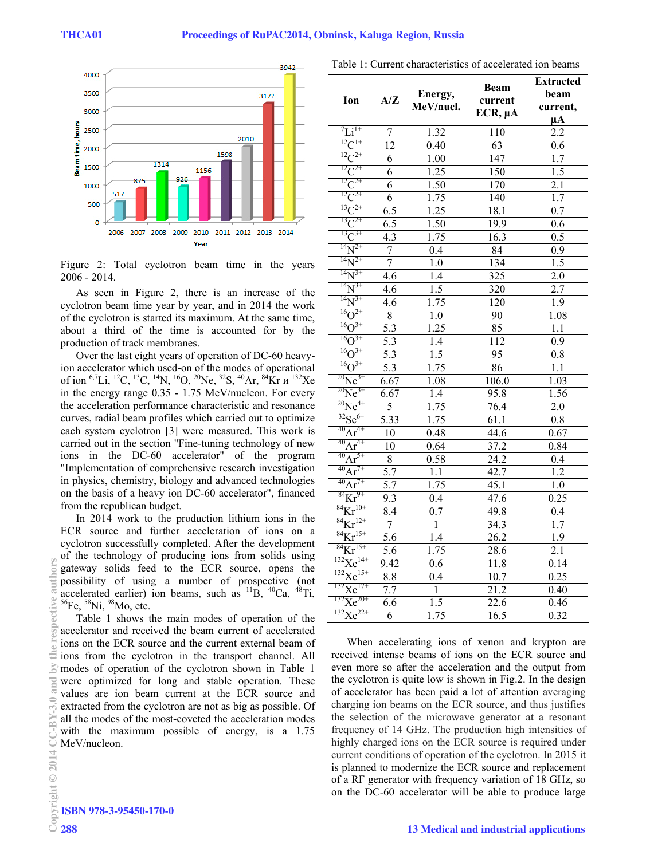

Figure 2: Total cyclotron beam time in the years 2006 - 2014.

As seen in Figure 2, there is an increase of the cyclotron beam time year by year, and in 2014 the work of the cyclotron is started its maximum. At the same time, about a third of the time is accounted for by the production of track membranes.

Over the last eight years of operation of DC-60 heavyion accelerator which used-on of the modes of operational of ion  ${}^{6,7}Li$ ,  ${}^{12}C$ ,  ${}^{13}C$ ,  ${}^{14}N$ ,  ${}^{16}O$ ,  ${}^{20}Ne$ ,  ${}^{32}S$ ,  ${}^{40}Ar$ ,  ${}^{84}Kr$   $u$   ${}^{132}Xe$ in the energy range 0.35 - 1.75 MeV/nucleon. For every the acceleration performance characteristic and resonance curves, radial beam profiles which carried out to optimize each system cyclotron [3] were measured. This work is carried out in the section "Fine-tuning technology of new ions in the DC-60 accelerator" of the program "Implementation of comprehensive research investigation in physics, chemistry, biology and advanced technologies on the basis of a heavy ion DC-60 accelerator", financed from the republican budget.

In 2014 work to the production lithium ions in the ECR source and further acceleration of ions on a cyclotron successfully completed. After the development of the technology of producing ions from solids using gateway solids feed to the ECR source, opens the possibility of using a number of prospective (not accelerated earlier) ion beams, such as  ${}^{11}B$ ,  ${}^{40}Ca$ ,  ${}^{48}Ti$ ,  ${}^{56}Fe$ ,  ${}^{58}Ni$ ,  ${}^{98}Mo$ , etc.

Table 1 shows the main modes of operation of the accelerator and received the beam current of accelerated ions on the ECR source and the current external beam of ions from the cyclotron in the transport channel. All modes of operation of the cyclotron shown in Table 1 were optimized for long and stable operation. These values are ion beam current at the ECR source and extracted from the cyclotron are not as big as possible. Of all the modes of the most-coveted the acceleration modes with the maximum possible of energy, is a 1.75 MeV/nucleon.

| Ion                           | A/Z              | Energy,<br>MeV/nucl. | <b>Beam</b><br>current<br>$ECR$ , $\mu A$ | <b>Extracted</b><br>beam<br>current,<br>$\mu A$ |
|-------------------------------|------------------|----------------------|-------------------------------------------|-------------------------------------------------|
| $\overline{L}$ <sub>11+</sub> | $\overline{7}$   | 1.32                 | 110                                       | 2.2                                             |
| $^{12}C^{1+}$                 | 12               | 0.40                 | 63                                        | 0.6                                             |
| $^{12}C^{2+}$                 | 6                | 1.00                 | 147                                       | 1.7                                             |
| $^{12}C^{2+}$                 | 6                | 1.25                 | 150                                       | 1.5                                             |
| $^{12}C^{2+}$                 | $\overline{6}$   | 1.50                 | 170                                       | 2.1                                             |
| $^{12}C^{2+}$                 | $\overline{6}$   | 1.75                 | 140                                       | 1.7                                             |
| $^{13}C^{2+}$                 | 6.5              | 1.25                 | 18.1                                      | 0.7                                             |
| $^{13}C^{2+}$                 | $\overline{6.5}$ | 1.50                 | 19.9                                      | 0.6                                             |
| $^{13}C^{3+}$                 | $\overline{4.3}$ | 1.75                 | 16.3                                      | 0.5                                             |
| $^{14}N^{2+}$                 | 7                | 0.4                  | 84                                        | 0.9                                             |
| $^{14}N^{2+}$                 | $\overline{7}$   | 1.0                  | 134                                       | 1.5                                             |
| $^{14}N^{3+}$                 | 4.6              | $1.4$                | 325                                       | $\overline{2.0}$                                |
| $^{14}N^{3+}$                 | 4.6              | 1.5                  | 320                                       | 2.7                                             |
| $^{14}N^{3+}$                 | 4.6              | 1.75                 | 120                                       | 1.9                                             |
| $^{16}O^{2+}$                 | $\overline{8}$   | 1.0                  | 90                                        | 1.08                                            |
| ${}^{16}O^{3+}$               | $\overline{5.3}$ | 1.25                 | 85                                        | 1.1                                             |
| $^{16}O^{3+}$                 | 5.3              | $\overline{1.4}$     | 112                                       | 0.9                                             |
| $^{16}O^{3+}$                 | $\overline{5.3}$ | 1.5                  | 95                                        | 0.8                                             |
| $^{16}O^{3+}$                 | $\overline{5.3}$ | 1.75                 | 86                                        | 1.1                                             |
| $^{20}Ne^{3+}$                | 6.67             | 1.08                 | 106.0                                     | 1.03                                            |
| $^{20}Ne^{3+}$                | 6.67             | 1.4                  | 95.8                                      | 1.56                                            |
| $^{20}\text{Ne}^{4+}$         | 5                | 1.75                 | 76.4                                      | 2.0                                             |
| ${}^{32}Se^{6+}$              | 5.33             | 1.75                 | 61.1                                      | 0.8                                             |
| $^{40}Ar^{4+}$                | 10               | 0.48                 | 44.6                                      | 0.67                                            |
| $^{40}Ar^{4+}$                | 10               | 0.64                 | 37.2                                      | 0.84                                            |
| $^{40}Ar^{5+}$                | $\overline{8}$   | 0.58                 | $\overline{24.2}$                         | $\overline{0.4}$                                |
| $^{40}Ar^{7+}$                | 5.7              | 1.1                  | 42.7                                      | 1.2                                             |
| $^{40}Ar^{7+}$                | 5.7              | 1.75                 | $\overline{4}$ 5.1                        | 1.0                                             |
| ${}^{84}\text{Kr}^{9+}$       | 9.3              | 0.4                  | $\overline{47.6}$                         | 0.25                                            |
| $\mathrm{^{84}Kr^{10+}}$      | 8.4              | 0.7                  | 49.8                                      | 0.4                                             |
| ${}^{84}\text{Kr}^{12+}$      | $\overline{7}$   | $\mathbf{1}$         | 34.3                                      | 1.7                                             |
| ${}^{84}\text{Kr}^{15+}$      | 5.6              | 1.4                  | 26.2                                      | 1.9                                             |
| ${}^{84}\text{Kr}^{15+}$      | $\overline{5.6}$ | 1.75                 | 28.6                                      | 2.1                                             |
| $^{132}\text{Xe}^{14+}$       | 9.42             | 0.6                  | 11.8                                      | 0.14                                            |
| $^{132}\text{Xe}^{15+}$       | 8.8              | 0.4                  | 10.7                                      | 0.25                                            |
| $^{132}\text{X}e^{17+}$       | 7.7              | $\overline{1}$       | $\overline{21.2}$                         | 0.40                                            |
| $^{132}\text{Xe}^{20+}$       | 6.6              | 1.5                  | 22.6                                      | 0.46                                            |
| $^{132}\text{X}e^{22+}$       | 6                | 1.75                 | 16.5                                      | 0.32                                            |

Table 1: Current characteristics of accelerated ion beams

When accelerating ions of xenon and krypton are received intense beams of ions on the ECR source and even more so after the acceleration and the output from the cyclotron is quite low is shown in Fig.2. In the design of accelerator has been paid a lot of attention averaging charging ion beams on the ECR source, and thus justifies the selection of the microwave generator at a resonant frequency of 14 GHz. The production high intensities of highly charged ions on the ECR source is required under current conditions of operation of the cyclotron. In 2015 it is planned to modernize the ECR source and replacement of a RF generator with frequency variation of 18 GHz, so on the DC-60 accelerator will be able to produce large